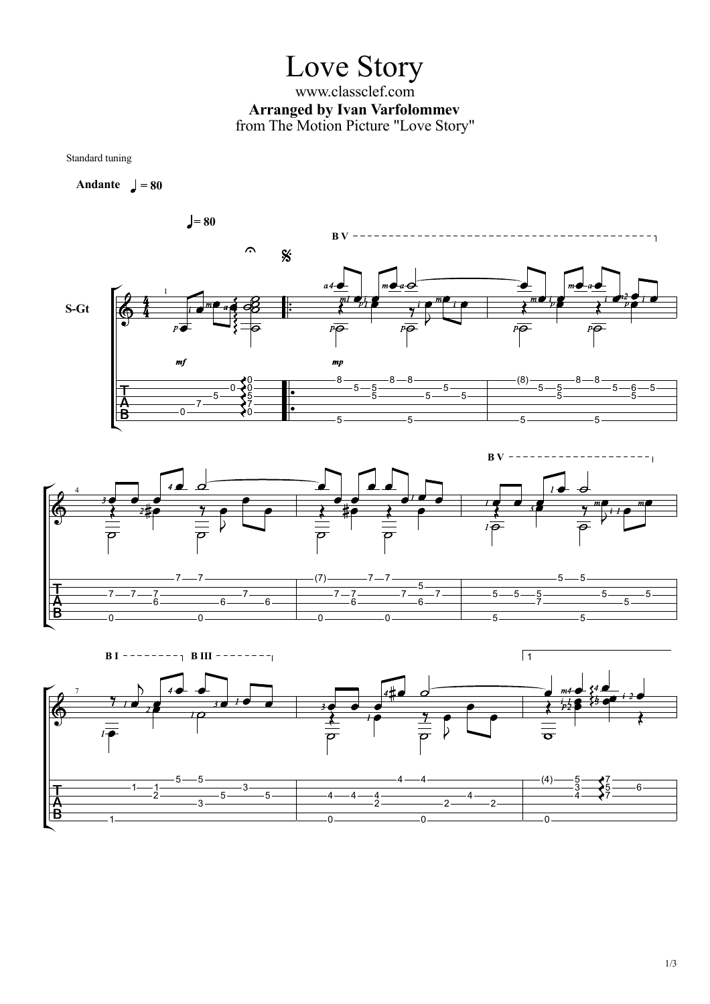## Love Story

www.classclef.com **Arranged by Ivan Varfolommev** from The Motion Picture "Love Story"

Standard tuning

Andante  $=$   $\sqrt{ }$  = 80





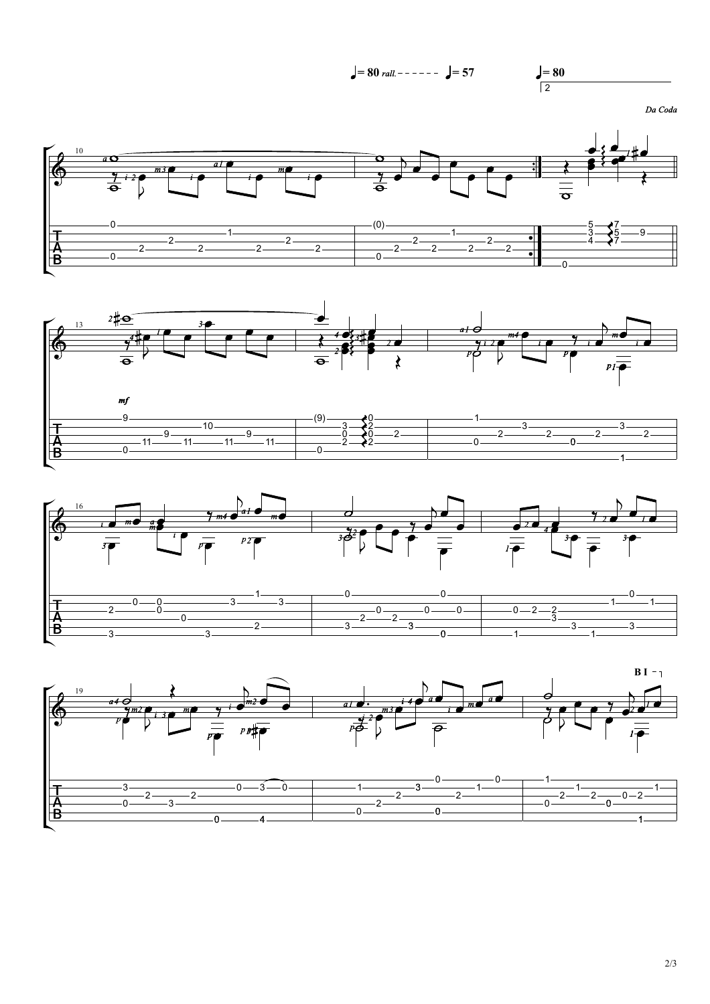

2/3